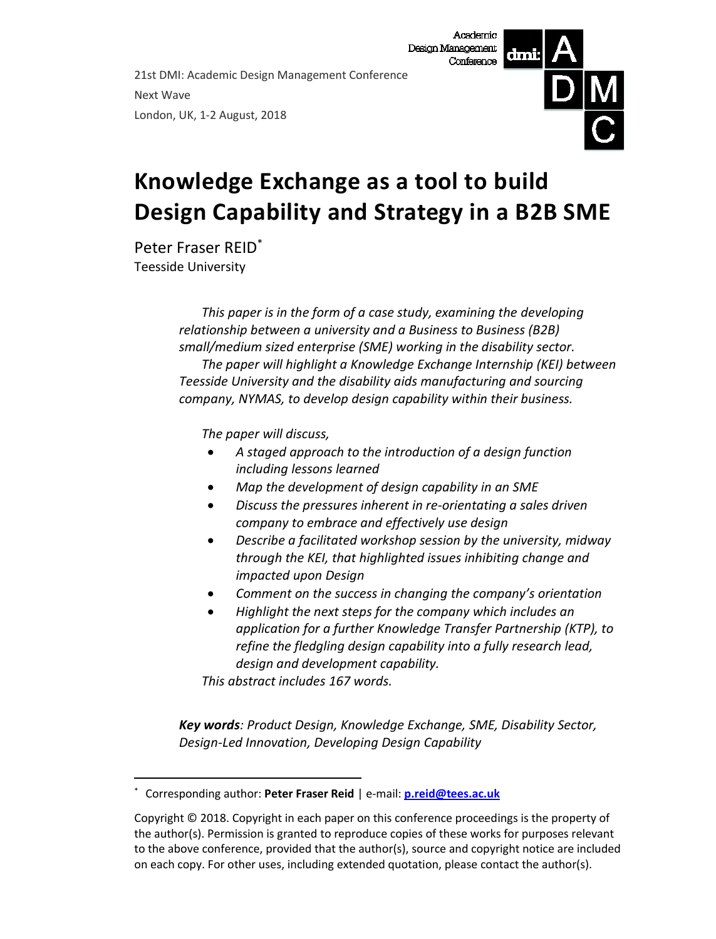21st DMI: Academic Design Management Conference Next Wave London, UK, 1-2 August, 2018



# **Knowledge Exchange as a tool to build Design Capability and Strategy in a B2B SME**

Peter Fraser REID\* Teesside University

1

*This paper is in the form of a case study, examining the developing relationship between a university and a Business to Business (B2B) small/medium sized enterprise (SME) working in the disability sector. The paper will highlight a Knowledge Exchange Internship (KEI) between Teesside University and the disability aids manufacturing and sourcing company, NYMAS, to develop design capability within their business.*

*The paper will discuss,*

- *A staged approach to the introduction of a design function including lessons learned*
- *Map the development of design capability in an SME*
- *Discuss the pressures inherent in re-orientating a sales driven company to embrace and effectively use design*
- *Describe a facilitated workshop session by the university, midway through the KEI, that highlighted issues inhibiting change and impacted upon Design*
- *Comment on the success in changing the company's orientation*
- *Highlight the next steps for the company which includes an application for a further Knowledge Transfer Partnership (KTP), to refine the fledgling design capability into a fully research lead, design and development capability.*

*This abstract includes 167 words.*

*Key words: Product Design, Knowledge Exchange, SME, Disability Sector, Design-Led Innovation, Developing Design Capability*

<sup>\*</sup> Corresponding author: **Peter Fraser Reid** | e-mail: **[p.reid@tees.ac.uk](mailto:p.reid@tees.ac.uk)**

Copyright © 2018. Copyright in each paper on this conference proceedings is the property of the author(s). Permission is granted to reproduce copies of these works for purposes relevant to the above conference, provided that the author(s), source and copyright notice are included on each copy. For other uses, including extended quotation, please contact the author(s).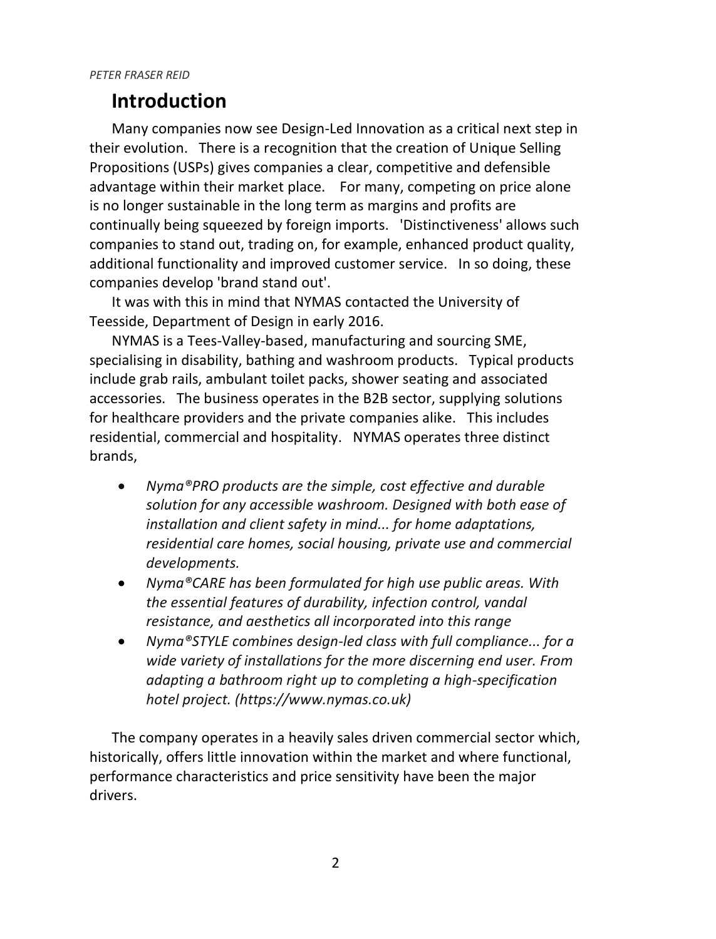## **Introduction**

Many companies now see Design-Led Innovation as a critical next step in their evolution. There is a recognition that the creation of Unique Selling Propositions (USPs) gives companies a clear, competitive and defensible advantage within their market place. For many, competing on price alone is no longer sustainable in the long term as margins and profits are continually being squeezed by foreign imports. 'Distinctiveness' allows such companies to stand out, trading on, for example, enhanced product quality, additional functionality and improved customer service. In so doing, these companies develop 'brand stand out'.

It was with this in mind that NYMAS contacted the University of Teesside, Department of Design in early 2016.

NYMAS is a Tees-Valley-based, manufacturing and sourcing SME, specialising in disability, bathing and washroom products. Typical products include grab rails, ambulant toilet packs, shower seating and associated accessories. The business operates in the B2B sector, supplying solutions for healthcare providers and the private companies alike. This includes residential, commercial and hospitality. NYMAS operates three distinct brands,

- *Nyma®PRO products are the simple, cost effective and durable solution for any accessible washroom. Designed with both ease of installation and client safety in mind... for home adaptations, residential care homes, social housing, private use and commercial developments.*
- *Nyma®CARE has been formulated for high use public areas. With the essential features of durability, infection control, vandal resistance, and aesthetics all incorporated into this range*
- *Nyma®STYLE combines design-led class with full compliance... for a wide variety of installations for the more discerning end user. From adapting a bathroom right up to completing a high-specification hotel project. (https://www.nymas.co.uk)*

The company operates in a heavily sales driven commercial sector which, historically, offers little innovation within the market and where functional, performance characteristics and price sensitivity have been the major drivers.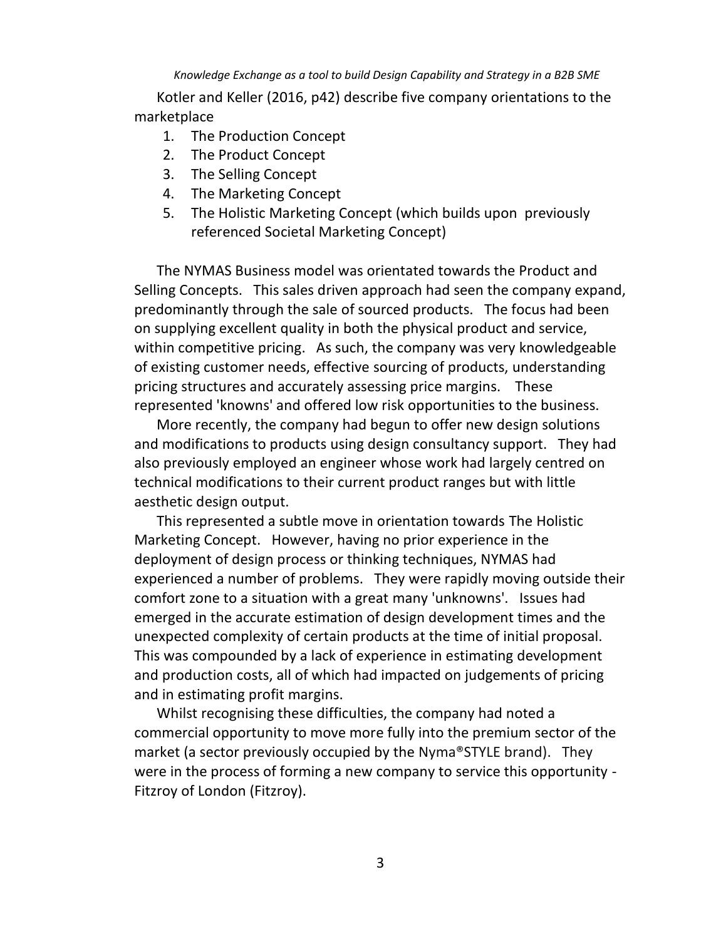Kotler and Keller (2016, p42) describe five company orientations to the marketplace

- 1. The Production Concept
- 2. The Product Concept
- 3. The Selling Concept
- 4. The Marketing Concept
- 5. The Holistic Marketing Concept (which builds upon previously referenced Societal Marketing Concept)

The NYMAS Business model was orientated towards the Product and Selling Concepts. This sales driven approach had seen the company expand, predominantly through the sale of sourced products. The focus had been on supplying excellent quality in both the physical product and service, within competitive pricing. As such, the company was very knowledgeable of existing customer needs, effective sourcing of products, understanding pricing structures and accurately assessing price margins. These represented 'knowns' and offered low risk opportunities to the business.

More recently, the company had begun to offer new design solutions and modifications to products using design consultancy support. They had also previously employed an engineer whose work had largely centred on technical modifications to their current product ranges but with little aesthetic design output.

This represented a subtle move in orientation towards The Holistic Marketing Concept. However, having no prior experience in the deployment of design process or thinking techniques, NYMAS had experienced a number of problems. They were rapidly moving outside their comfort zone to a situation with a great many 'unknowns'. Issues had emerged in the accurate estimation of design development times and the unexpected complexity of certain products at the time of initial proposal. This was compounded by a lack of experience in estimating development and production costs, all of which had impacted on judgements of pricing and in estimating profit margins.

Whilst recognising these difficulties, the company had noted a commercial opportunity to move more fully into the premium sector of the market (a sector previously occupied by the Nyma®STYLE brand). They were in the process of forming a new company to service this opportunity - Fitzroy of London (Fitzroy).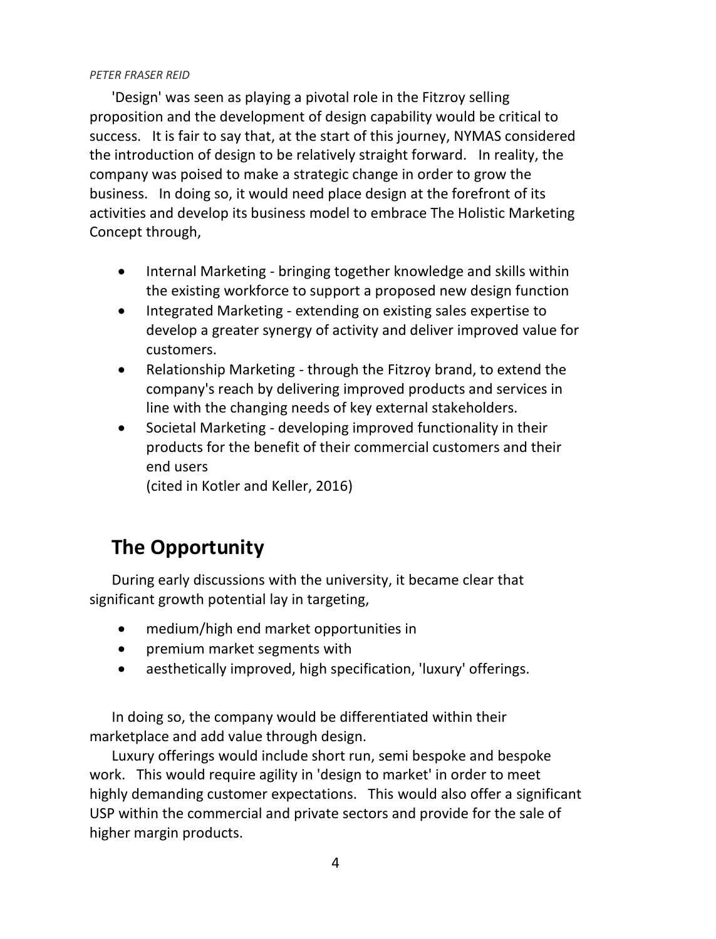'Design' was seen as playing a pivotal role in the Fitzroy selling proposition and the development of design capability would be critical to success. It is fair to say that, at the start of this journey, NYMAS considered the introduction of design to be relatively straight forward. In reality, the company was poised to make a strategic change in order to grow the business. In doing so, it would need place design at the forefront of its activities and develop its business model to embrace The Holistic Marketing Concept through,

- Internal Marketing bringing together knowledge and skills within the existing workforce to support a proposed new design function
- Integrated Marketing extending on existing sales expertise to develop a greater synergy of activity and deliver improved value for customers.
- Relationship Marketing through the Fitzroy brand, to extend the company's reach by delivering improved products and services in line with the changing needs of key external stakeholders.
- Societal Marketing developing improved functionality in their products for the benefit of their commercial customers and their end users

(cited in Kotler and Keller, 2016)

# **The Opportunity**

During early discussions with the university, it became clear that significant growth potential lay in targeting,

- medium/high end market opportunities in
- premium market segments with
- aesthetically improved, high specification, 'luxury' offerings.

In doing so, the company would be differentiated within their marketplace and add value through design.

Luxury offerings would include short run, semi bespoke and bespoke work. This would require agility in 'design to market' in order to meet highly demanding customer expectations. This would also offer a significant USP within the commercial and private sectors and provide for the sale of higher margin products.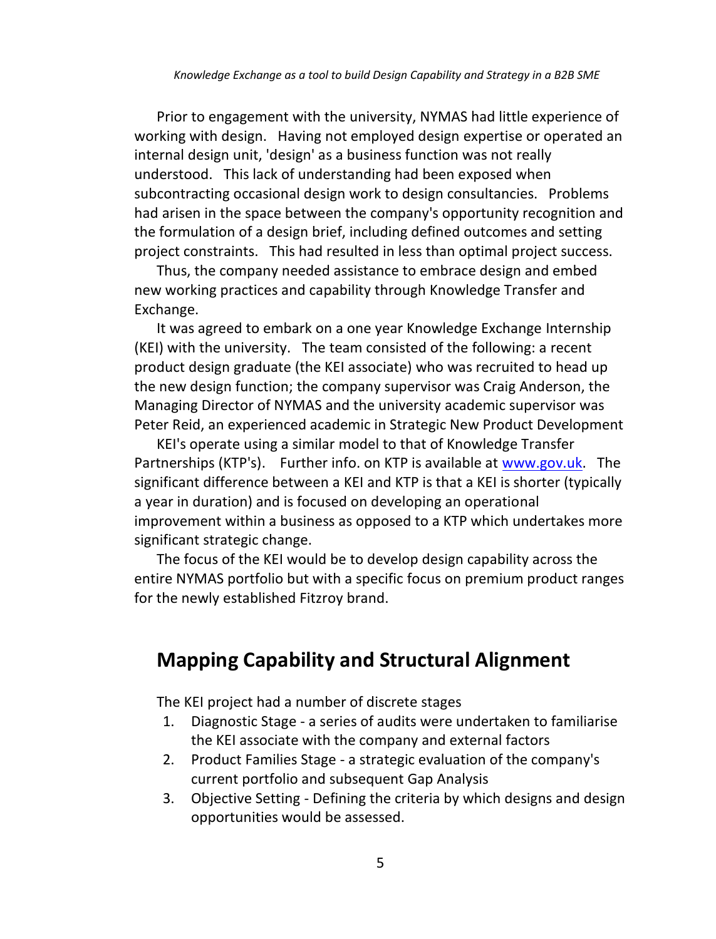Prior to engagement with the university, NYMAS had little experience of working with design. Having not employed design expertise or operated an internal design unit, 'design' as a business function was not really understood. This lack of understanding had been exposed when subcontracting occasional design work to design consultancies. Problems had arisen in the space between the company's opportunity recognition and the formulation of a design brief, including defined outcomes and setting project constraints. This had resulted in less than optimal project success.

Thus, the company needed assistance to embrace design and embed new working practices and capability through Knowledge Transfer and Exchange.

It was agreed to embark on a one year Knowledge Exchange Internship (KEI) with the university. The team consisted of the following: a recent product design graduate (the KEI associate) who was recruited to head up the new design function; the company supervisor was Craig Anderson, the Managing Director of NYMAS and the university academic supervisor was Peter Reid, an experienced academic in Strategic New Product Development

KEI's operate using a similar model to that of Knowledge Transfer Partnerships (KTP's). Further info. on KTP is available at [www.gov.uk.](https://www.gov.uk/guidance/knowledge-transfer-partnerships-what-they-are-and-how-to-apply) The significant difference between a KEI and KTP is that a KEI is shorter (typically a year in duration) and is focused on developing an operational improvement within a business as opposed to a KTP which undertakes more significant strategic change.

The focus of the KEI would be to develop design capability across the entire NYMAS portfolio but with a specific focus on premium product ranges for the newly established Fitzroy brand.

# **Mapping Capability and Structural Alignment**

The KEI project had a number of discrete stages

- 1. Diagnostic Stage a series of audits were undertaken to familiarise the KEI associate with the company and external factors
- 2. Product Families Stage a strategic evaluation of the company's current portfolio and subsequent Gap Analysis
- 3. Objective Setting Defining the criteria by which designs and design opportunities would be assessed.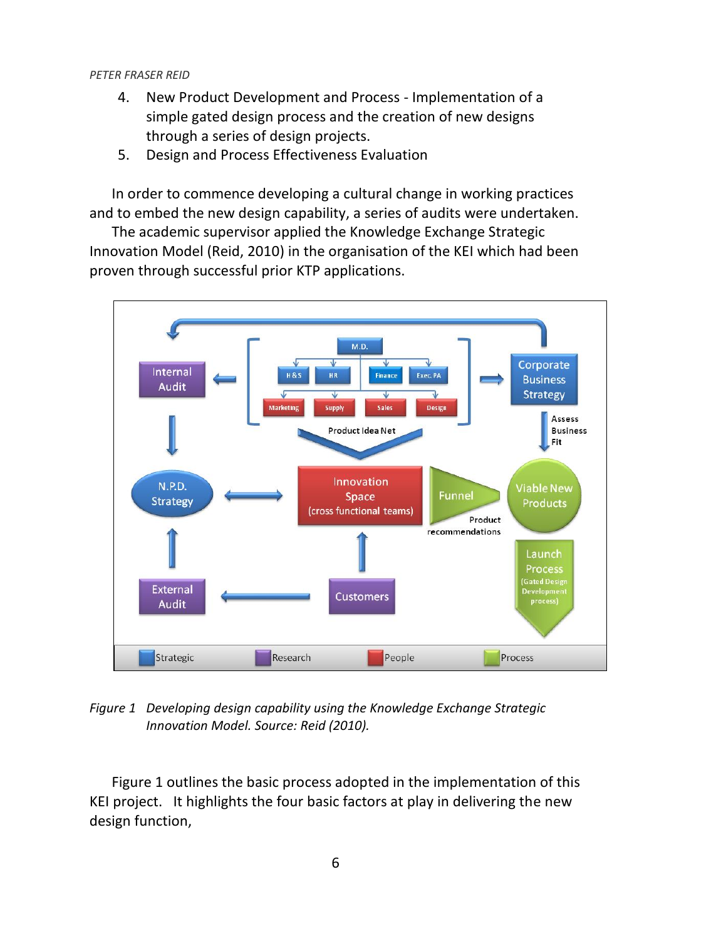- 4. New Product Development and Process Implementation of a simple gated design process and the creation of new designs through a series of design projects.
- 5. Design and Process Effectiveness Evaluation

In order to commence developing a cultural change in working practices and to embed the new design capability, a series of audits were undertaken.

The academic supervisor applied the Knowledge Exchange Strategic Innovation Model (Reid, 2010) in the organisation of the KEI which had been proven through successful prior KTP applications.



*Figure 1 Developing design capability using the Knowledge Exchange Strategic Innovation Model. Source: Reid (2010).*

Figure 1 outlines the basic process adopted in the implementation of this KEI project. It highlights the four basic factors at play in delivering the new design function,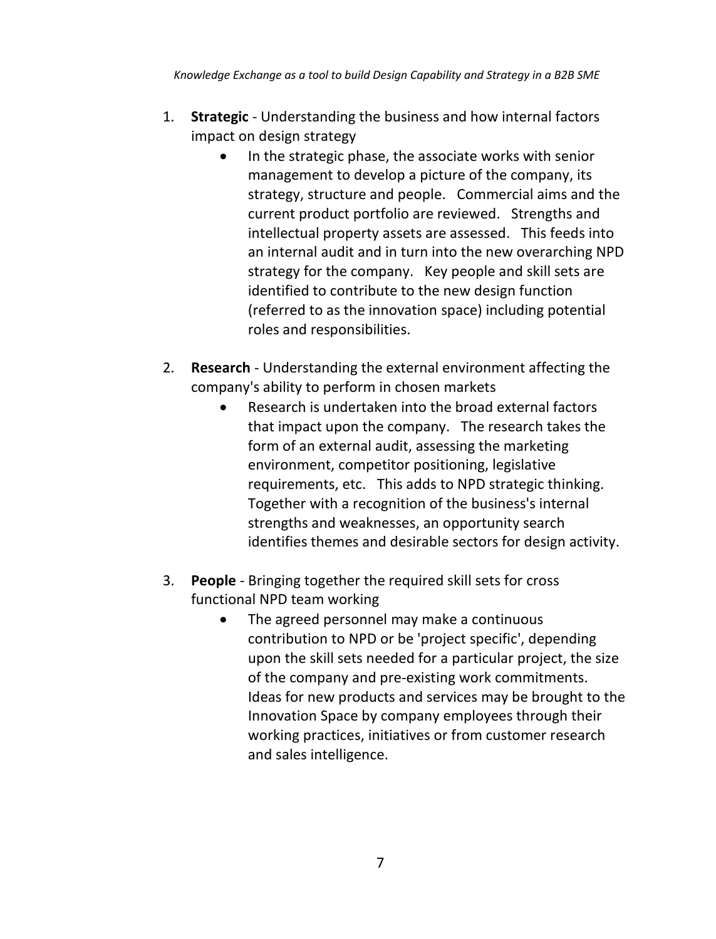- 1. **Strategic** Understanding the business and how internal factors impact on design strategy
	- In the strategic phase, the associate works with senior management to develop a picture of the company, its strategy, structure and people. Commercial aims and the current product portfolio are reviewed. Strengths and intellectual property assets are assessed. This feeds into an internal audit and in turn into the new overarching NPD strategy for the company. Key people and skill sets are identified to contribute to the new design function (referred to as the innovation space) including potential roles and responsibilities.
- 2. **Research** Understanding the external environment affecting the company's ability to perform in chosen markets
	- Research is undertaken into the broad external factors that impact upon the company. The research takes the form of an external audit, assessing the marketing environment, competitor positioning, legislative requirements, etc. This adds to NPD strategic thinking. Together with a recognition of the business's internal strengths and weaknesses, an opportunity search identifies themes and desirable sectors for design activity.
- 3. **People** Bringing together the required skill sets for cross functional NPD team working
	- The agreed personnel may make a continuous contribution to NPD or be 'project specific', depending upon the skill sets needed for a particular project, the size of the company and pre-existing work commitments. Ideas for new products and services may be brought to the Innovation Space by company employees through their working practices, initiatives or from customer research and sales intelligence.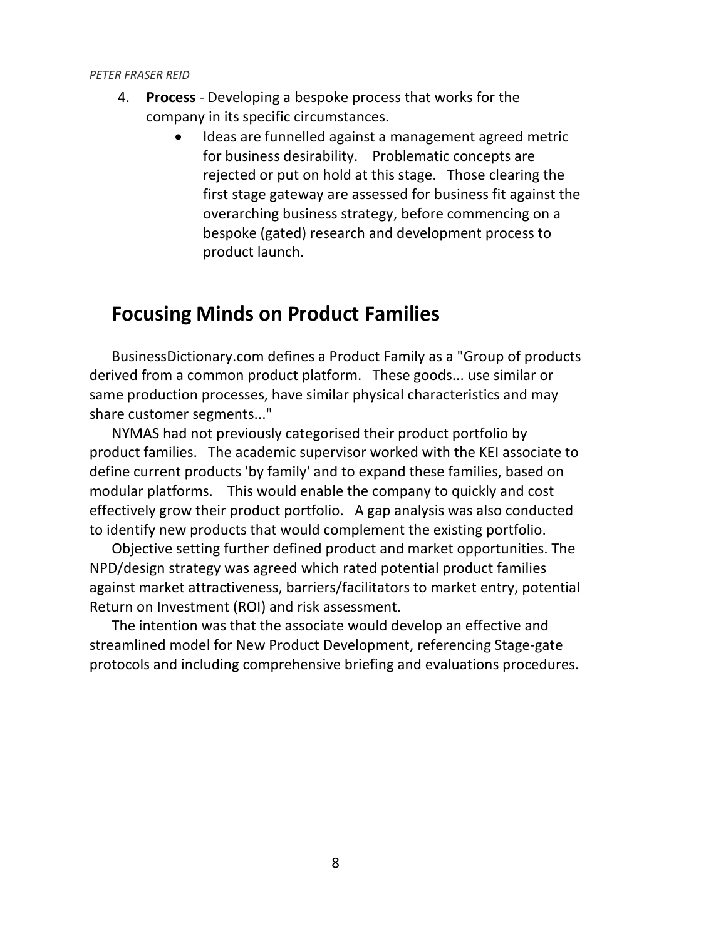- 4. **Process** Developing a bespoke process that works for the company in its specific circumstances.
	- Ideas are funnelled against a management agreed metric for business desirability. Problematic concepts are rejected or put on hold at this stage. Those clearing the first stage gateway are assessed for business fit against the overarching business strategy, before commencing on a bespoke (gated) research and development process to product launch.

### **Focusing Minds on Product Families**

BusinessDictionary.com defines a Product Family as a "Group of products derived from a common product platform. These goods... use similar or same production processes, have similar physical characteristics and may share customer segments..."

NYMAS had not previously categorised their product portfolio by product families. The academic supervisor worked with the KEI associate to define current products 'by family' and to expand these families, based on modular platforms. This would enable the company to quickly and cost effectively grow their product portfolio. A gap analysis was also conducted to identify new products that would complement the existing portfolio.

Objective setting further defined product and market opportunities. The NPD/design strategy was agreed which rated potential product families against market attractiveness, barriers/facilitators to market entry, potential Return on Investment (ROI) and risk assessment.

The intention was that the associate would develop an effective and streamlined model for New Product Development, referencing Stage-gate protocols and including comprehensive briefing and evaluations procedures.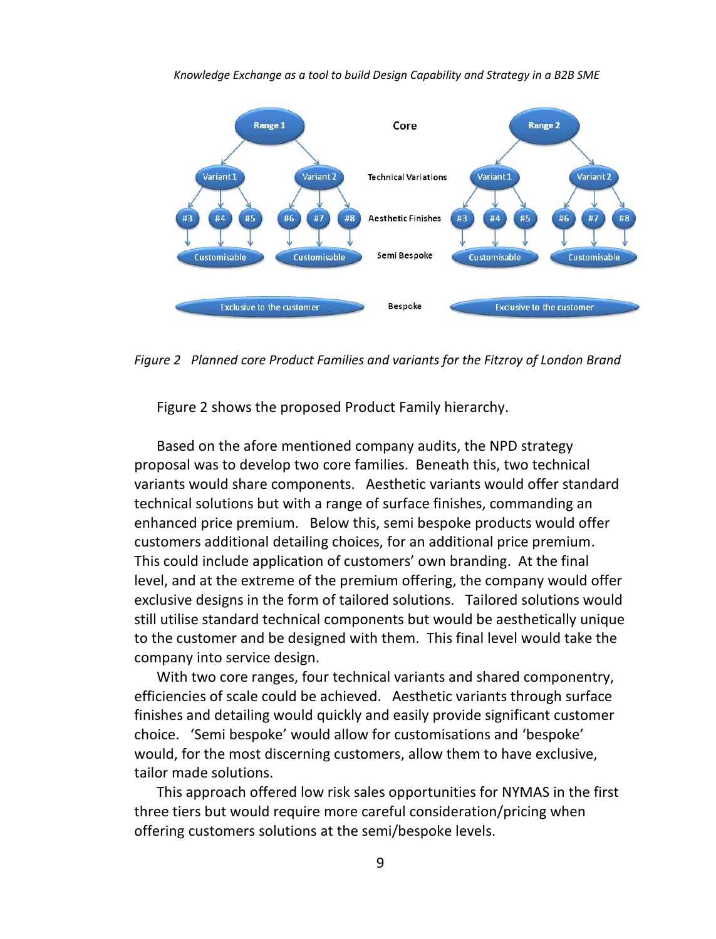

*Figure 2 Planned core Product Families and variants for the Fitzroy of London Brand*

Figure 2 shows the proposed Product Family hierarchy.

Based on the afore mentioned company audits, the NPD strategy proposal was to develop two core families. Beneath this, two technical variants would share components. Aesthetic variants would offer standard technical solutions but with a range of surface finishes, commanding an enhanced price premium. Below this, semi bespoke products would offer customers additional detailing choices, for an additional price premium. This could include application of customers' own branding. At the final level, and at the extreme of the premium offering, the company would offer exclusive designs in the form of tailored solutions. Tailored solutions would still utilise standard technical components but would be aesthetically unique to the customer and be designed with them. This final level would take the company into service design.

With two core ranges, four technical variants and shared componentry, efficiencies of scale could be achieved. Aesthetic variants through surface finishes and detailing would quickly and easily provide significant customer choice. 'Semi bespoke' would allow for customisations and 'bespoke' would, for the most discerning customers, allow them to have exclusive, tailor made solutions.

This approach offered low risk sales opportunities for NYMAS in the first three tiers but would require more careful consideration/pricing when offering customers solutions at the semi/bespoke levels.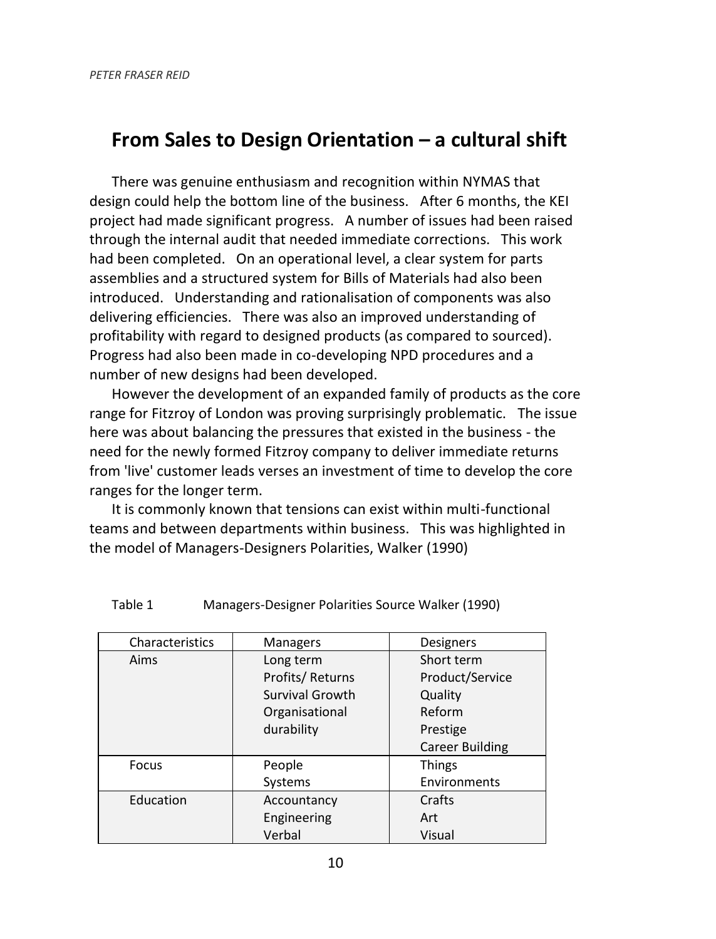### **From Sales to Design Orientation – a cultural shift**

There was genuine enthusiasm and recognition within NYMAS that design could help the bottom line of the business. After 6 months, the KEI project had made significant progress. A number of issues had been raised through the internal audit that needed immediate corrections. This work had been completed. On an operational level, a clear system for parts assemblies and a structured system for Bills of Materials had also been introduced. Understanding and rationalisation of components was also delivering efficiencies. There was also an improved understanding of profitability with regard to designed products (as compared to sourced). Progress had also been made in co-developing NPD procedures and a number of new designs had been developed.

However the development of an expanded family of products as the core range for Fitzroy of London was proving surprisingly problematic. The issue here was about balancing the pressures that existed in the business - the need for the newly formed Fitzroy company to deliver immediate returns from 'live' customer leads verses an investment of time to develop the core ranges for the longer term.

It is commonly known that tensions can exist within multi-functional teams and between departments within business. This was highlighted in the model of Managers-Designers Polarities, Walker (1990)

| Characteristics | <b>Managers</b> | <b>Designers</b> |  |
|-----------------|-----------------|------------------|--|
| Aims            | Long term       | Short term       |  |
|                 | Profits/Returns | Product/Service  |  |
|                 | Survival Growth | Quality          |  |
|                 | Organisational  | Reform           |  |
|                 | durability      | Prestige         |  |
|                 |                 | Career Building  |  |
| Focus           | People          | <b>Things</b>    |  |
|                 | Systems         | Environments     |  |
| Education       | Accountancy     | Crafts           |  |
|                 | Engineering     | Art              |  |
|                 | Verbal          | Visual           |  |

| Table 1 | Managers-Designer Polarities Source Walker (1990) |  |  |
|---------|---------------------------------------------------|--|--|
|---------|---------------------------------------------------|--|--|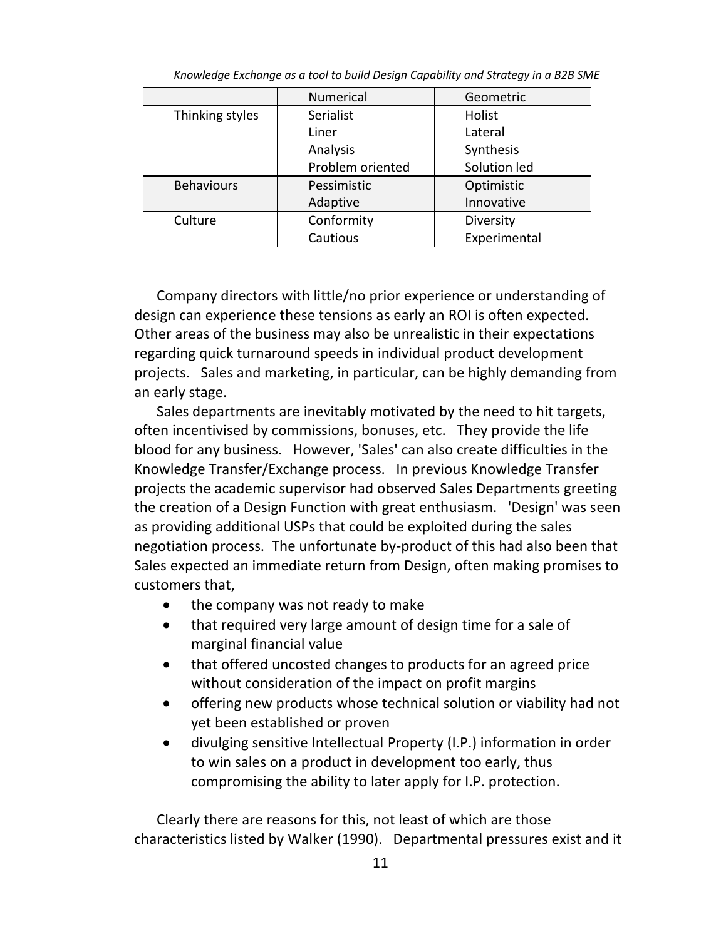|                   | <b>Numerical</b>      | Geometric    |  |  |
|-------------------|-----------------------|--------------|--|--|
| Thinking styles   | Serialist             | Holist       |  |  |
|                   | Liner                 | Lateral      |  |  |
|                   | Analysis<br>Synthesis |              |  |  |
|                   | Problem oriented      | Solution led |  |  |
| <b>Behaviours</b> | Pessimistic           | Optimistic   |  |  |
|                   | Adaptive              | Innovative   |  |  |
| Culture           | Conformity            | Diversity    |  |  |
|                   | Cautious              | Experimental |  |  |

Company directors with little/no prior experience or understanding of design can experience these tensions as early an ROI is often expected. Other areas of the business may also be unrealistic in their expectations regarding quick turnaround speeds in individual product development projects. Sales and marketing, in particular, can be highly demanding from an early stage.

Sales departments are inevitably motivated by the need to hit targets, often incentivised by commissions, bonuses, etc. They provide the life blood for any business. However, 'Sales' can also create difficulties in the Knowledge Transfer/Exchange process. In previous Knowledge Transfer projects the academic supervisor had observed Sales Departments greeting the creation of a Design Function with great enthusiasm. 'Design' was seen as providing additional USPs that could be exploited during the sales negotiation process. The unfortunate by-product of this had also been that Sales expected an immediate return from Design, often making promises to customers that,

- the company was not ready to make
- that required very large amount of design time for a sale of marginal financial value
- that offered uncosted changes to products for an agreed price without consideration of the impact on profit margins
- offering new products whose technical solution or viability had not yet been established or proven
- divulging sensitive Intellectual Property (I.P.) information in order to win sales on a product in development too early, thus compromising the ability to later apply for I.P. protection.

Clearly there are reasons for this, not least of which are those characteristics listed by Walker (1990). Departmental pressures exist and it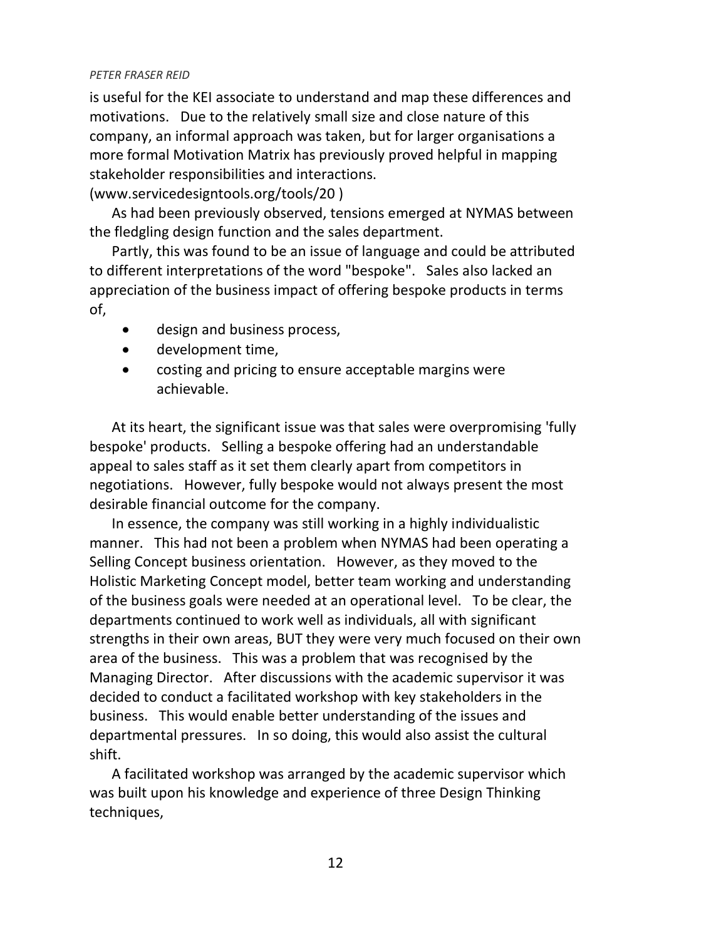is useful for the KEI associate to understand and map these differences and motivations. Due to the relatively small size and close nature of this company, an informal approach was taken, but for larger organisations a more formal Motivation Matrix has previously proved helpful in mapping stakeholder responsibilities and interactions.

(www.servicedesigntools.org/tools/20 )

As had been previously observed, tensions emerged at NYMAS between the fledgling design function and the sales department.

Partly, this was found to be an issue of language and could be attributed to different interpretations of the word "bespoke". Sales also lacked an appreciation of the business impact of offering bespoke products in terms of,

- design and business process,
- development time,
- costing and pricing to ensure acceptable margins were achievable.

At its heart, the significant issue was that sales were overpromising 'fully bespoke' products. Selling a bespoke offering had an understandable appeal to sales staff as it set them clearly apart from competitors in negotiations. However, fully bespoke would not always present the most desirable financial outcome for the company.

In essence, the company was still working in a highly individualistic manner. This had not been a problem when NYMAS had been operating a Selling Concept business orientation. However, as they moved to the Holistic Marketing Concept model, better team working and understanding of the business goals were needed at an operational level. To be clear, the departments continued to work well as individuals, all with significant strengths in their own areas, BUT they were very much focused on their own area of the business. This was a problem that was recognised by the Managing Director. After discussions with the academic supervisor it was decided to conduct a facilitated workshop with key stakeholders in the business. This would enable better understanding of the issues and departmental pressures. In so doing, this would also assist the cultural shift.

A facilitated workshop was arranged by the academic supervisor which was built upon his knowledge and experience of three Design Thinking techniques,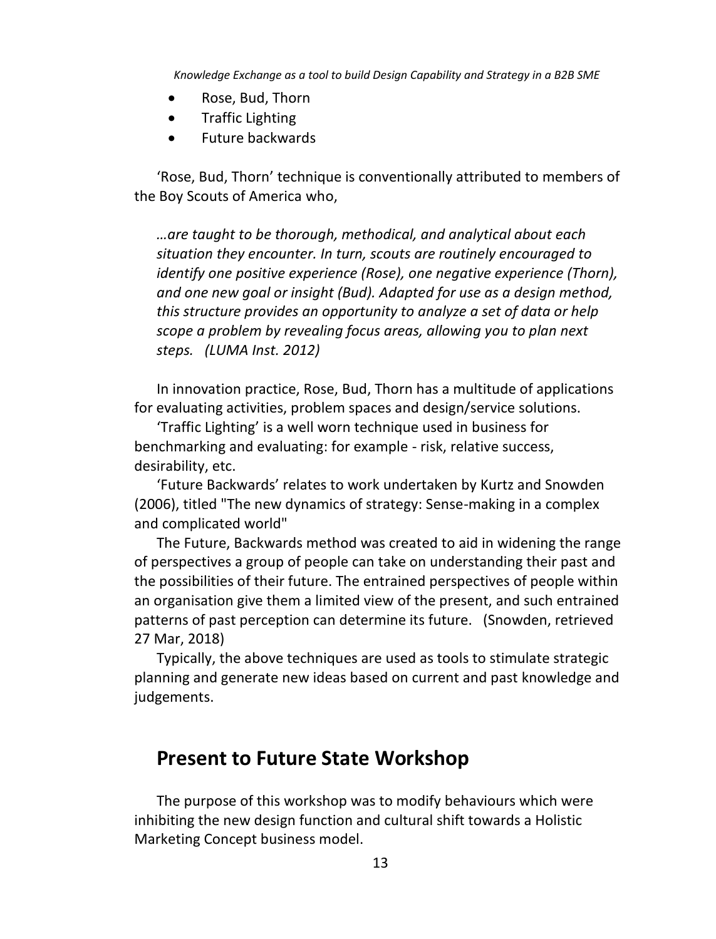- Rose, Bud, Thorn
- Traffic Lighting
- Future backwards

'Rose, Bud, Thorn' technique is conventionally attributed to members of the Boy Scouts of America who,

*…are taught to be thorough, methodical, and analytical about each situation they encounter. In turn, scouts are routinely encouraged to identify one positive experience (Rose), one negative experience (Thorn), and one new goal or insight (Bud). Adapted for use as a design method, this structure provides an opportunity to analyze a set of data or help scope a problem by revealing focus areas, allowing you to plan next steps. (LUMA Inst. 2012)*

In innovation practice, Rose, Bud, Thorn has a multitude of applications for evaluating activities, problem spaces and design/service solutions.

'Traffic Lighting' is a well worn technique used in business for benchmarking and evaluating: for example - risk, relative success, desirability, etc.

'Future Backwards' relates to work undertaken by Kurtz and Snowden (2006), titled "The new dynamics of strategy: Sense-making in a complex and complicated world"

The Future, Backwards method was created to aid in widening the range of perspectives a group of people can take on understanding their past and the possibilities of their future. The entrained perspectives of people within an organisation give them a limited view of the present, and such entrained patterns of past perception can determine its future. (Snowden, retrieved 27 Mar, 2018)

Typically, the above techniques are used as tools to stimulate strategic planning and generate new ideas based on current and past knowledge and judgements.

### **Present to Future State Workshop**

The purpose of this workshop was to modify behaviours which were inhibiting the new design function and cultural shift towards a Holistic Marketing Concept business model.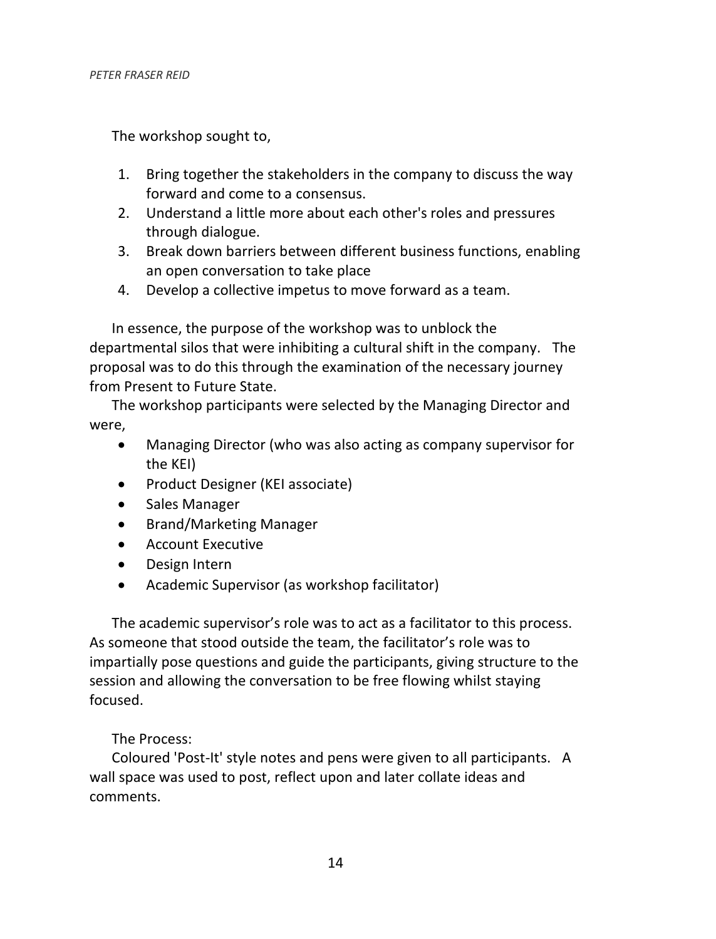The workshop sought to,

- 1. Bring together the stakeholders in the company to discuss the way forward and come to a consensus.
- 2. Understand a little more about each other's roles and pressures through dialogue.
- 3. Break down barriers between different business functions, enabling an open conversation to take place
- 4. Develop a collective impetus to move forward as a team.

In essence, the purpose of the workshop was to unblock the departmental silos that were inhibiting a cultural shift in the company. The proposal was to do this through the examination of the necessary journey from Present to Future State.

The workshop participants were selected by the Managing Director and were,

- Managing Director (who was also acting as company supervisor for the KEI)
- Product Designer (KEI associate)
- Sales Manager
- Brand/Marketing Manager
- Account Executive
- Design Intern
- Academic Supervisor (as workshop facilitator)

The academic supervisor's role was to act as a facilitator to this process. As someone that stood outside the team, the facilitator's role was to impartially pose questions and guide the participants, giving structure to the session and allowing the conversation to be free flowing whilst staying focused.

#### The Process:

Coloured 'Post-It' style notes and pens were given to all participants. A wall space was used to post, reflect upon and later collate ideas and comments.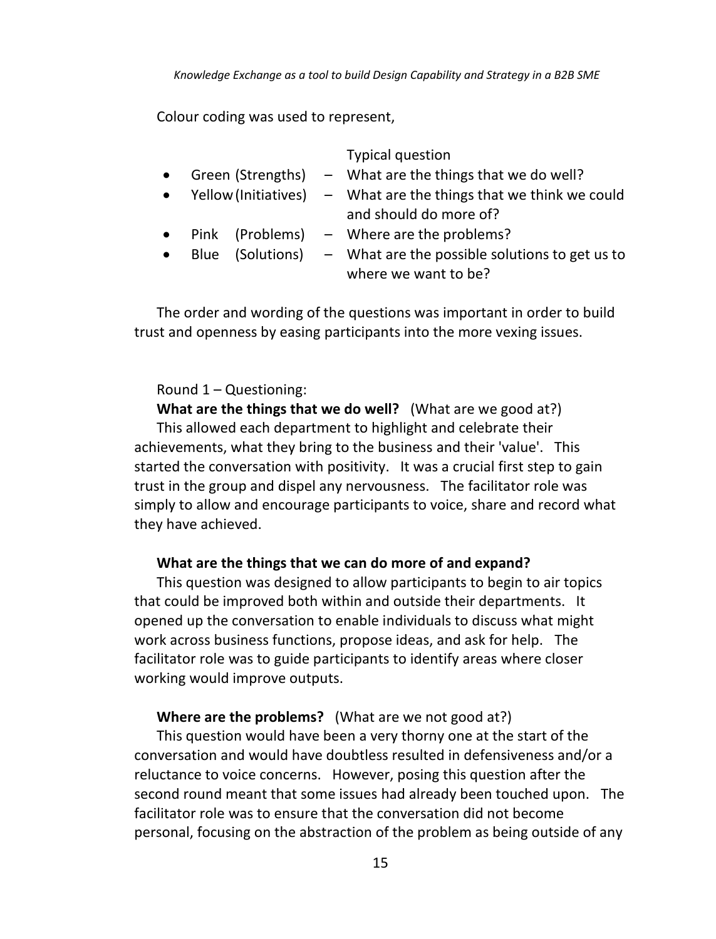Colour coding was used to represent,

|           |  | <b>Typical question</b>                                                                       |
|-----------|--|-----------------------------------------------------------------------------------------------|
| $\bullet$ |  | Green (Strengths) $-$ What are the things that we do well?                                    |
| $\bullet$ |  | Yellow (Initiatives) $-$ What are the things that we think we could<br>and should do more of? |
| $\bullet$ |  | Pink (Problems) $-$ Where are the problems?                                                   |
| $\bullet$ |  | Blue (Solutions) $-$ What are the possible solutions to get us to<br>where we want to be?     |

The order and wording of the questions was important in order to build trust and openness by easing participants into the more vexing issues.

#### Round 1 – Questioning:

**What are the things that we do well?** (What are we good at?) This allowed each department to highlight and celebrate their achievements, what they bring to the business and their 'value'. This started the conversation with positivity. It was a crucial first step to gain trust in the group and dispel any nervousness. The facilitator role was simply to allow and encourage participants to voice, share and record what they have achieved.

#### **What are the things that we can do more of and expand?**

This question was designed to allow participants to begin to air topics that could be improved both within and outside their departments. It opened up the conversation to enable individuals to discuss what might work across business functions, propose ideas, and ask for help. The facilitator role was to guide participants to identify areas where closer working would improve outputs.

#### **Where are the problems?** (What are we not good at?)

This question would have been a very thorny one at the start of the conversation and would have doubtless resulted in defensiveness and/or a reluctance to voice concerns. However, posing this question after the second round meant that some issues had already been touched upon. The facilitator role was to ensure that the conversation did not become personal, focusing on the abstraction of the problem as being outside of any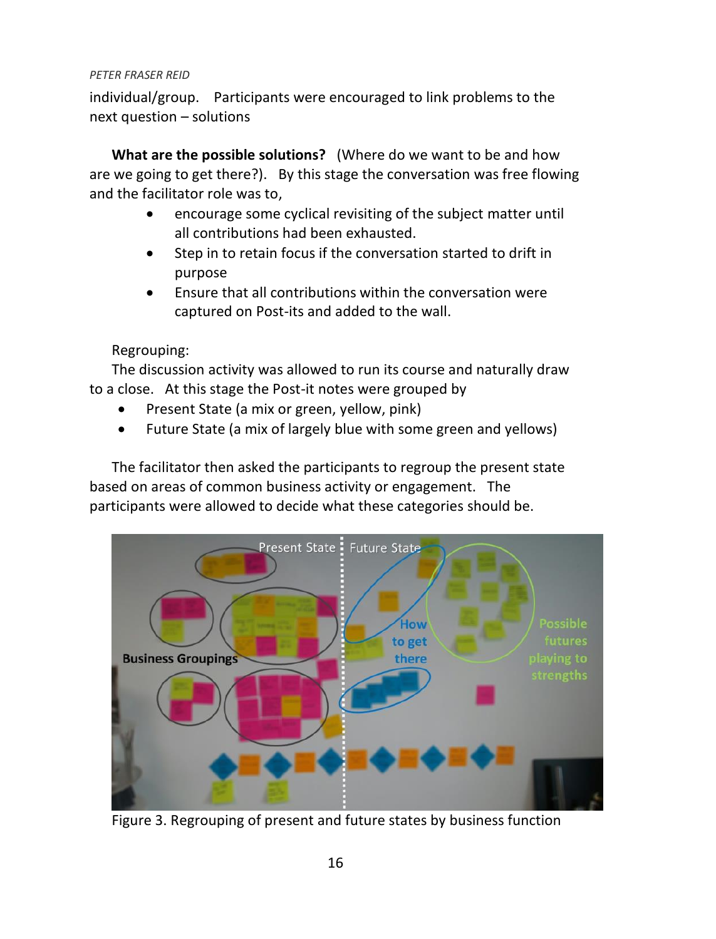individual/group. Participants were encouraged to link problems to the next question – solutions

**What are the possible solutions?** (Where do we want to be and how are we going to get there?). By this stage the conversation was free flowing and the facilitator role was to,

- encourage some cyclical revisiting of the subject matter until all contributions had been exhausted.
- Step in to retain focus if the conversation started to drift in purpose
- Ensure that all contributions within the conversation were captured on Post-its and added to the wall.

### Regrouping:

The discussion activity was allowed to run its course and naturally draw to a close. At this stage the Post-it notes were grouped by

- Present State (a mix or green, yellow, pink)
- Future State (a mix of largely blue with some green and yellows)

The facilitator then asked the participants to regroup the present state based on areas of common business activity or engagement. The participants were allowed to decide what these categories should be.



Figure 3. Regrouping of present and future states by business function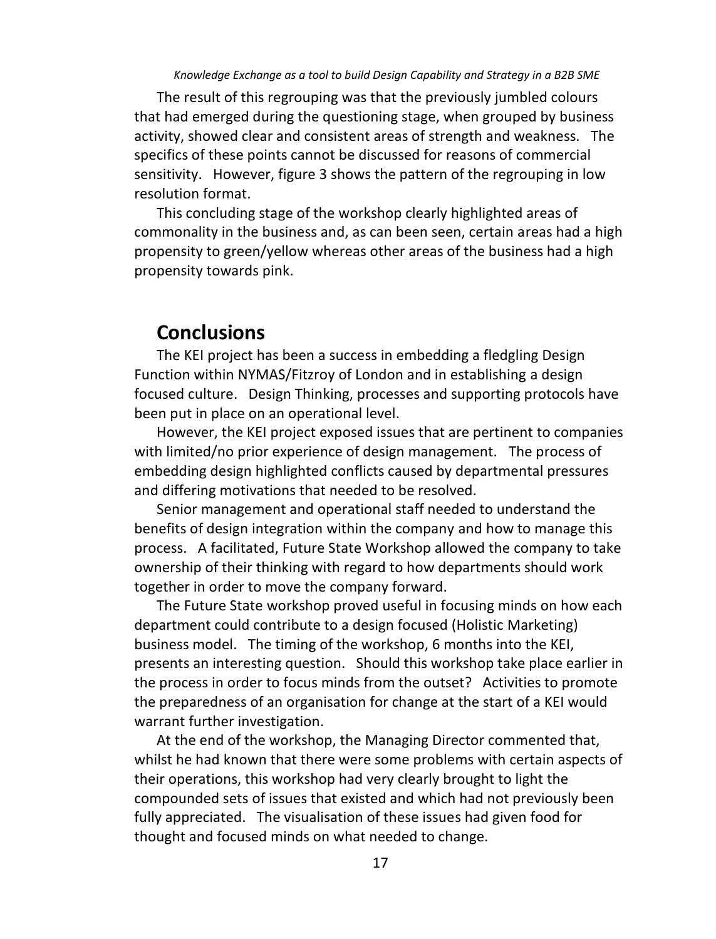The result of this regrouping was that the previously jumbled colours that had emerged during the questioning stage, when grouped by business activity, showed clear and consistent areas of strength and weakness. The specifics of these points cannot be discussed for reasons of commercial sensitivity. However, figure 3 shows the pattern of the regrouping in low resolution format.

This concluding stage of the workshop clearly highlighted areas of commonality in the business and, as can been seen, certain areas had a high propensity to green/yellow whereas other areas of the business had a high propensity towards pink.

### **Conclusions**

The KEI project has been a success in embedding a fledgling Design Function within NYMAS/Fitzroy of London and in establishing a design focused culture. Design Thinking, processes and supporting protocols have been put in place on an operational level.

However, the KEI project exposed issues that are pertinent to companies with limited/no prior experience of design management. The process of embedding design highlighted conflicts caused by departmental pressures and differing motivations that needed to be resolved.

Senior management and operational staff needed to understand the benefits of design integration within the company and how to manage this process. A facilitated, Future State Workshop allowed the company to take ownership of their thinking with regard to how departments should work together in order to move the company forward.

The Future State workshop proved useful in focusing minds on how each department could contribute to a design focused (Holistic Marketing) business model. The timing of the workshop, 6 months into the KEI, presents an interesting question. Should this workshop take place earlier in the process in order to focus minds from the outset? Activities to promote the preparedness of an organisation for change at the start of a KEI would warrant further investigation.

At the end of the workshop, the Managing Director commented that, whilst he had known that there were some problems with certain aspects of their operations, this workshop had very clearly brought to light the compounded sets of issues that existed and which had not previously been fully appreciated. The visualisation of these issues had given food for thought and focused minds on what needed to change.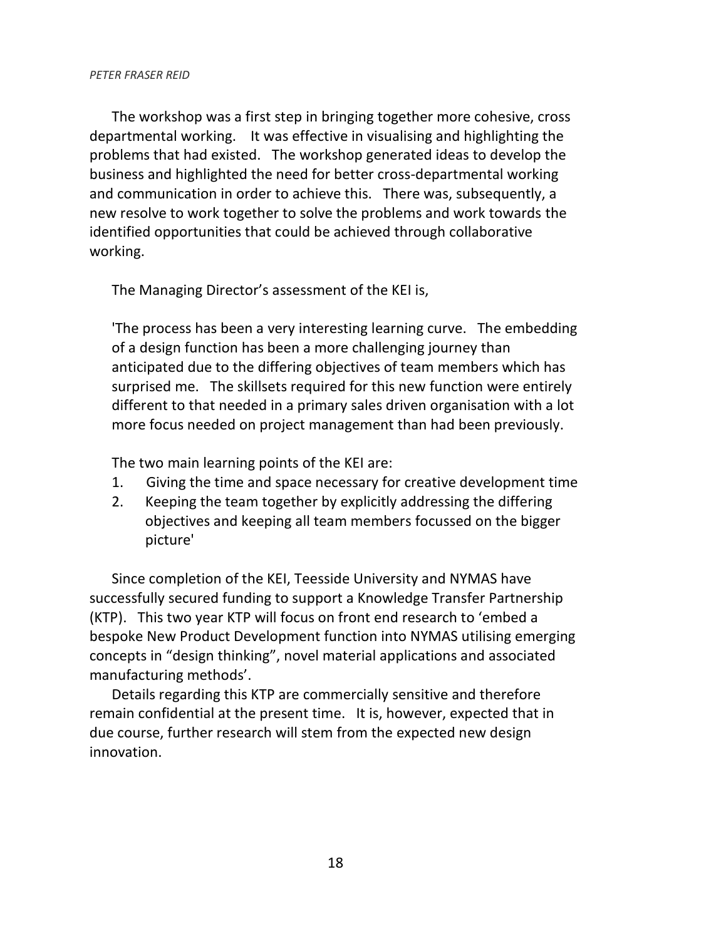The workshop was a first step in bringing together more cohesive, cross departmental working. It was effective in visualising and highlighting the problems that had existed. The workshop generated ideas to develop the business and highlighted the need for better cross-departmental working and communication in order to achieve this. There was, subsequently, a new resolve to work together to solve the problems and work towards the identified opportunities that could be achieved through collaborative working.

The Managing Director's assessment of the KEI is,

'The process has been a very interesting learning curve. The embedding of a design function has been a more challenging journey than anticipated due to the differing objectives of team members which has surprised me. The skillsets required for this new function were entirely different to that needed in a primary sales driven organisation with a lot more focus needed on project management than had been previously.

The two main learning points of the KEI are:

- 1. Giving the time and space necessary for creative development time
- 2. Keeping the team together by explicitly addressing the differing objectives and keeping all team members focussed on the bigger picture'

Since completion of the KEI, Teesside University and NYMAS have successfully secured funding to support a Knowledge Transfer Partnership (KTP). This two year KTP will focus on front end research to 'embed a bespoke New Product Development function into NYMAS utilising emerging concepts in "design thinking", novel material applications and associated manufacturing methods'.

Details regarding this KTP are commercially sensitive and therefore remain confidential at the present time. It is, however, expected that in due course, further research will stem from the expected new design innovation.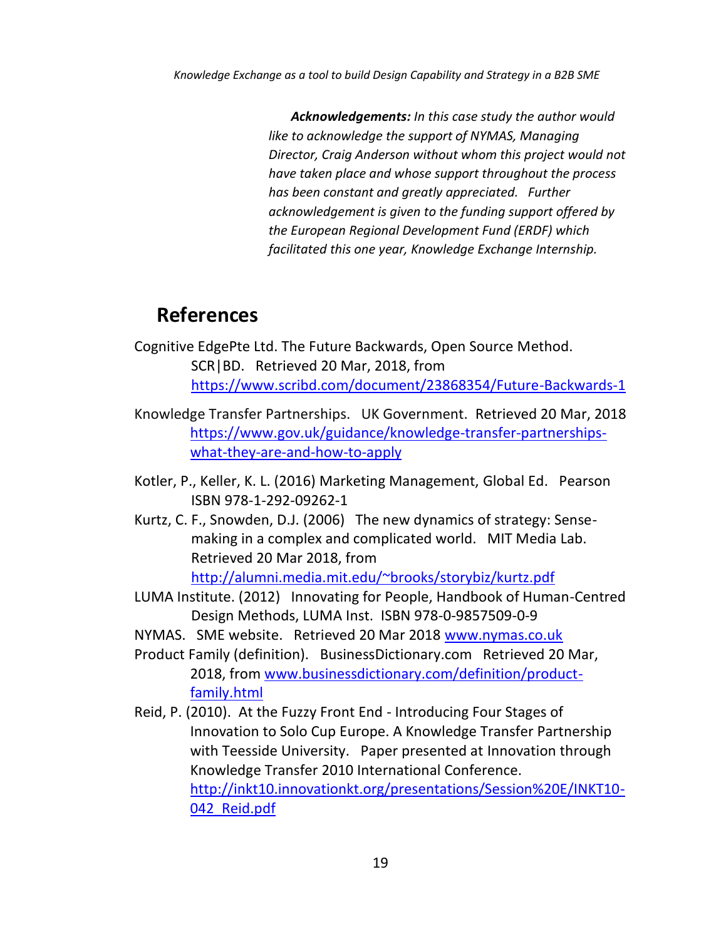*Acknowledgements: In this case study the author would like to acknowledge the support of NYMAS, Managing Director, Craig Anderson without whom this project would not have taken place and whose support throughout the process has been constant and greatly appreciated. Further acknowledgement is given to the funding support offered by the European Regional Development Fund (ERDF) which facilitated this one year, Knowledge Exchange Internship.*

## **References**

- Cognitive EdgePte Ltd. The Future Backwards, Open Source Method. SCR|BD. Retrieved 20 Mar, 2018, from <https://www.scribd.com/document/23868354/Future-Backwards-1>
- Knowledge Transfer Partnerships. UK Government. Retrieved 20 Mar, 2018 [https://www.gov.uk/guidance/knowledge-transfer-partnerships](https://www.gov.uk/guidance/knowledge-transfer-partnerships-what-they-are-and-how-to-apply)[what-they-are-and-how-to-apply](https://www.gov.uk/guidance/knowledge-transfer-partnerships-what-they-are-and-how-to-apply)
- Kotler, P., Keller, K. L. (2016) Marketing Management, Global Ed. Pearson ISBN 978-1-292-09262-1
- Kurtz, C. F., Snowden, D.J. (2006) The new dynamics of strategy: Sensemaking in a complex and complicated world. MIT Media Lab. Retrieved 20 Mar 2018, from <http://alumni.media.mit.edu/~brooks/storybiz/kurtz.pdf>
- LUMA Institute. (2012) Innovating for People, Handbook of Human-Centred Design Methods, LUMA Inst. ISBN 978-0-9857509-0-9
- NYMAS. SME website. Retrieved 20 Mar 201[8 www.nymas.co.uk](www.nymas.co.uk)
- Product Family (definition). BusinessDictionary.com Retrieved 20 Mar, 2018, fro[m www.businessdictionary.com/definition/product](www.businessdictionary.com/definition/product-family.html)[family.html](www.businessdictionary.com/definition/product-family.html)
- Reid, P. (2010). At the Fuzzy Front End Introducing Four Stages of Innovation to Solo Cup Europe. A Knowledge Transfer Partnership with Teesside University. Paper presented at Innovation through Knowledge Transfer 2010 International Conference. [http://inkt10.innovationkt.org/presentations/Session%20E/INKT10-](http://inkt10.innovationkt.org/presentations/Session%20E/INKT10-042_Reid.pdf) [042\\_Reid.pdf](http://inkt10.innovationkt.org/presentations/Session%20E/INKT10-042_Reid.pdf)